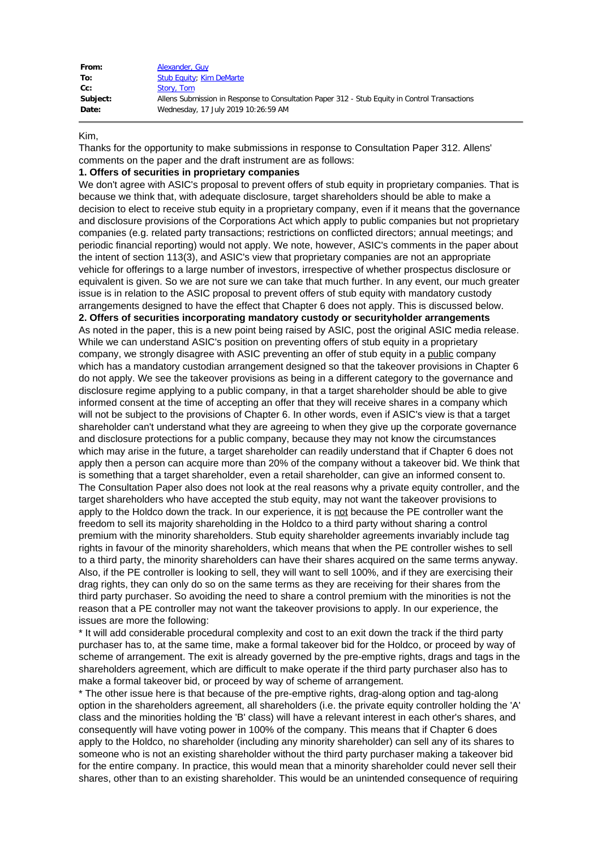| From:    | Alexander, Guy                                                                                |
|----------|-----------------------------------------------------------------------------------------------|
| To:      | <b>Stub Equity; Kim DeMarte</b>                                                               |
| cc:      | Story, Tom                                                                                    |
| Subject: | Allens Submission in Response to Consultation Paper 312 - Stub Equity in Control Transactions |
| Date:    | Wednesday, 17 July 2019 10:26:59 AM                                                           |

## Kim,

Thanks for the opportunity to make submissions in response to Consultation Paper 312. Allens' comments on the paper and the draft instrument are as follows:

## **1. Offers of securities in proprietary companies**

We don't agree with ASIC's proposal to prevent offers of stub equity in proprietary companies. That is because we think that, with adequate disclosure, target shareholders should be able to make a decision to elect to receive stub equity in a proprietary company, even if it means that the governance and disclosure provisions of the Corporations Act which apply to public companies but not proprietary companies (e.g. related party transactions; restrictions on conflicted directors; annual meetings; and periodic financial reporting) would not apply. We note, however, ASIC's comments in the paper about the intent of section 113(3), and ASIC's view that proprietary companies are not an appropriate vehicle for offerings to a large number of investors, irrespective of whether prospectus disclosure or equivalent is given. So we are not sure we can take that much further. In any event, our much greater issue is in relation to the ASIC proposal to prevent offers of stub equity with mandatory custody arrangements designed to have the effect that Chapter 6 does not apply. This is discussed below. **2. Offers of securities incorporating mandatory custody or securityholder arrangements** As noted in the paper, this is a new point being raised by ASIC, post the original ASIC media release. While we can understand ASIC's position on preventing offers of stub equity in a proprietary company, we strongly disagree with ASIC preventing an offer of stub equity in a public company which has a mandatory custodian arrangement designed so that the takeover provisions in Chapter 6 do not apply. We see the takeover provisions as being in a different category to the governance and disclosure regime applying to a public company, in that a target shareholder should be able to give informed consent at the time of accepting an offer that they will receive shares in a company which will not be subject to the provisions of Chapter 6. In other words, even if ASIC's view is that a target shareholder can't understand what they are agreeing to when they give up the corporate governance and disclosure protections for a public company, because they may not know the circumstances which may arise in the future, a target shareholder can readily understand that if Chapter 6 does not apply then a person can acquire more than 20% of the company without a takeover bid. We think that is something that a target shareholder, even a retail shareholder, can give an informed consent to. The Consultation Paper also does not look at the real reasons why a private equity controller, and the target shareholders who have accepted the stub equity, may not want the takeover provisions to apply to the Holdco down the track. In our experience, it is not because the PE controller want the freedom to sell its majority shareholding in the Holdco to a third party without sharing a control premium with the minority shareholders. Stub equity shareholder agreements invariably include tag rights in favour of the minority shareholders, which means that when the PE controller wishes to sell to a third party, the minority shareholders can have their shares acquired on the same terms anyway. Also, if the PE controller is looking to sell, they will want to sell 100%, and if they are exercising their drag rights, they can only do so on the same terms as they are receiving for their shares from the third party purchaser. So avoiding the need to share a control premium with the minorities is not the reason that a PE controller may not want the takeover provisions to apply. In our experience, the issues are more the following:

\* It will add considerable procedural complexity and cost to an exit down the track if the third party purchaser has to, at the same time, make a formal takeover bid for the Holdco, or proceed by way of scheme of arrangement. The exit is already governed by the pre-emptive rights, drags and tags in the shareholders agreement, which are difficult to make operate if the third party purchaser also has to make a formal takeover bid, or proceed by way of scheme of arrangement.

\* The other issue here is that because of the pre-emptive rights, drag-along option and tag-along option in the shareholders agreement, all shareholders (i.e. the private equity controller holding the 'A' class and the minorities holding the 'B' class) will have a relevant interest in each other's shares, and consequently will have voting power in 100% of the company. This means that if Chapter 6 does apply to the Holdco, no shareholder (including any minority shareholder) can sell any of its shares to someone who is not an existing shareholder without the third party purchaser making a takeover bid for the entire company. In practice, this would mean that a minority shareholder could never sell their shares, other than to an existing shareholder. This would be an unintended consequence of requiring